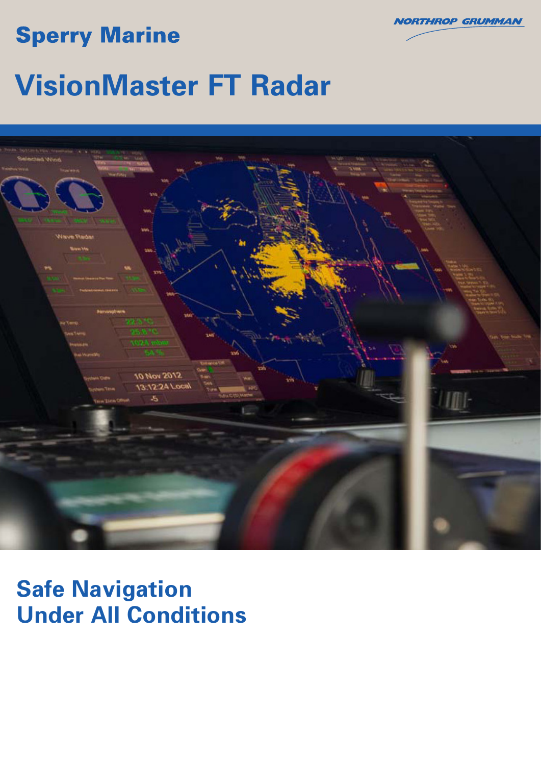## **Sperry Marine**



# **VisionMaster FT Radar**



## **Safe Navigation Under All Conditions**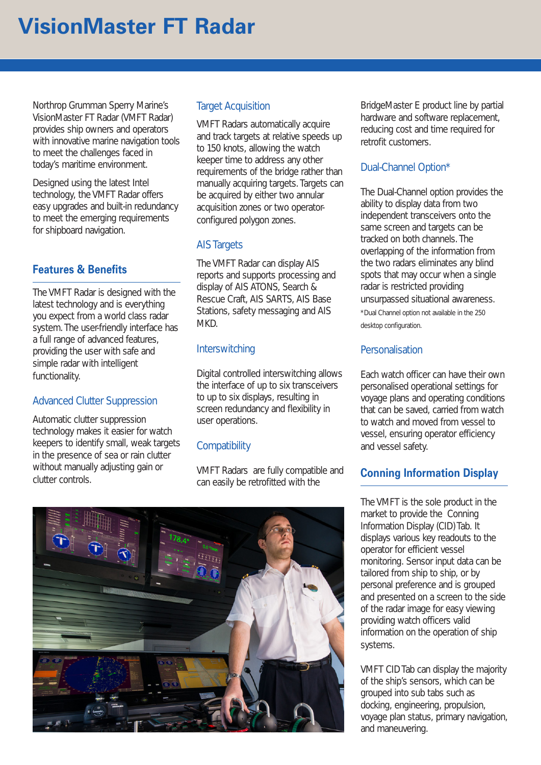## **VisionMaster FT Radar**

Northrop Grumman Sperry Marine's VisionMaster FT Radar (VMFT Radar) provides ship owners and operators with innovative marine navigation tools to meet the challenges faced in today's maritime environment.

Designed using the latest Intel technology, the VMFT Radar offers easy upgrades and built-in redundancy to meet the emerging requirements for shipboard navigation.

## **Features & Benefits**

The VMFT Radar is designed with the latest technology and is everything you expect from a world class radar system. The user-friendly interface has a full range of advanced features, providing the user with safe and simple radar with intelligent functionality.

## Advanced Clutter Suppression

Automatic clutter suppression technology makes it easier for watch keepers to identify small, weak targets in the presence of sea or rain clutter without manually adjusting gain or clutter controls.

## Target Acquisition

VMFT Radars automatically acquire and track targets at relative speeds up to 150 knots, allowing the watch keeper time to address any other requirements of the bridge rather than manually acquiring targets. Targets can be acquired by either two annular acquisition zones or two operatorconfigured polygon zones.

### **AIS Targets**

The VMFT Radar can display AIS reports and supports processing and display of AIS ATONS, Search & Rescue Craft, AIS SARTS, AIS Base Stations, safety messaging and AIS MKD.

### **Interswitching**

Digital controlled interswitching allows the interface of up to six transceivers to up to six displays, resulting in screen redundancy and flexibility in user operations.

### **Compatibility**

VMFT Radars are fully compatible and can easily be retrofitted with the

BridgeMaster E product line by partial hardware and software replacement, reducing cost and time required for retrofit customers.

## Dual-Channel Option\*

The Dual-Channel option provides the ability to display data from two independent transceivers onto the same screen and targets can be tracked on both channels. The overlapping of the information from the two radars eliminates any blind spots that may occur when a single radar is restricted providing unsurpassed situational awareness. \*Dual Channel option not available in the 250 desktop configuration.

### Personalisation

Each watch officer can have their own personalised operational settings for voyage plans and operating conditions that can be saved, carried from watch to watch and moved from vessel to vessel, ensuring operator efficiency and vessel safety.

## **Conning Information Display**

The VMFT is the sole product in the market to provide the Conning Information Display (CID) Tab. It displays various key readouts to the operator for efficient vessel monitoring. Sensor input data can be tailored from ship to ship, or by personal preference and is grouped and presented on a screen to the side of the radar image for easy viewing providing watch officers valid information on the operation of ship systems.

VMFT CID Tab can display the majority of the ship's sensors, which can be grouped into sub tabs such as docking, engineering, propulsion, voyage plan status, primary navigation, and maneuvering.

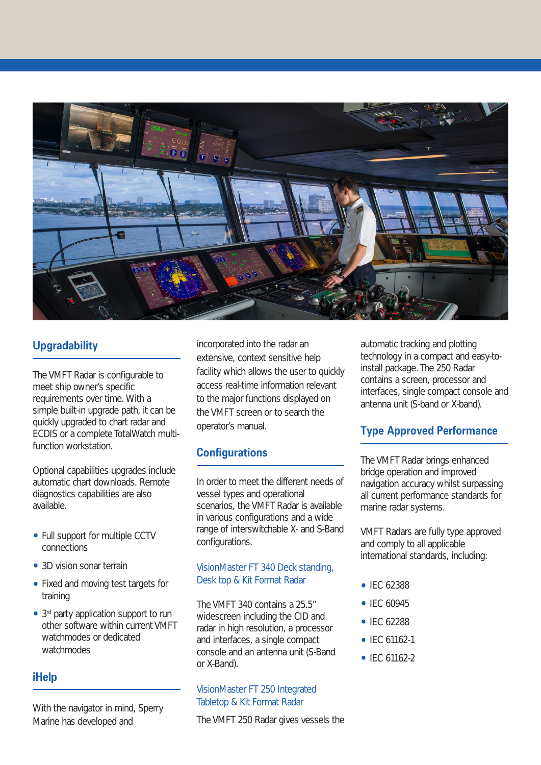

## **Upgradability**

The VMFT Radar is configurable to meet ship owner's specific requirements over time. With a simple built-in upgrade path, it can be quickly upgraded to chart radar and ECDIS or a complete TotalWatch multifunction workstation.

Optional capabilities upgrades include automatic chart downloads. Remote diagnostics capabilities are also available.

- Full support for multiple CCTV connections
- 3D vision sonar terrain
- Fixed and moving test targets for training
- 3<sup>rd</sup> party application support to run other software within current VMFT watchmodes or dedicated watchmodes

## **iHelp**

With the navigator in mind, Sperry Marine has developed and

incorporated into the radar an extensive, context sensitive help facility which allows the user to quickly access real-time information relevant to the major functions displayed on the VMFT screen or to search the operator's manual.

## **Configurations**

In order to meet the different needs of vessel types and operational scenarios, the VMFT Radar is available in various configurations and a wide range of interswitchable X- and S-Band configurations.

### VisionMaster FT 340 Deck standing, Desk top & Kit Format Radar

The VMFT 340 contains a 25.5" widescreen including the CID and radar in high resolution, a processor and interfaces, a single compact console and an antenna unit (S-Band or X-Band).

#### VisionMaster FT 250 Integrated Tabletop & Kit Format Radar

The VMFT 250 Radar gives vessels the

automatic tracking and plotting technology in a compact and easy-toinstall package. The 250 Radar contains a screen, processor and interfaces, single compact console and antenna unit (S-band or X-band).

## **Type Approved Performance**

The VMFT Radar brings enhanced bridge operation and improved navigation accuracy whilst surpassing all current performance standards for marine radar systems.

VMFT Radars are fully type approved and comply to all applicable international standards, including:

- IEC 62388
- IFC 60945
- IEC 62288
- IEC 61162-1
- $\bullet$  IFC 61162-2